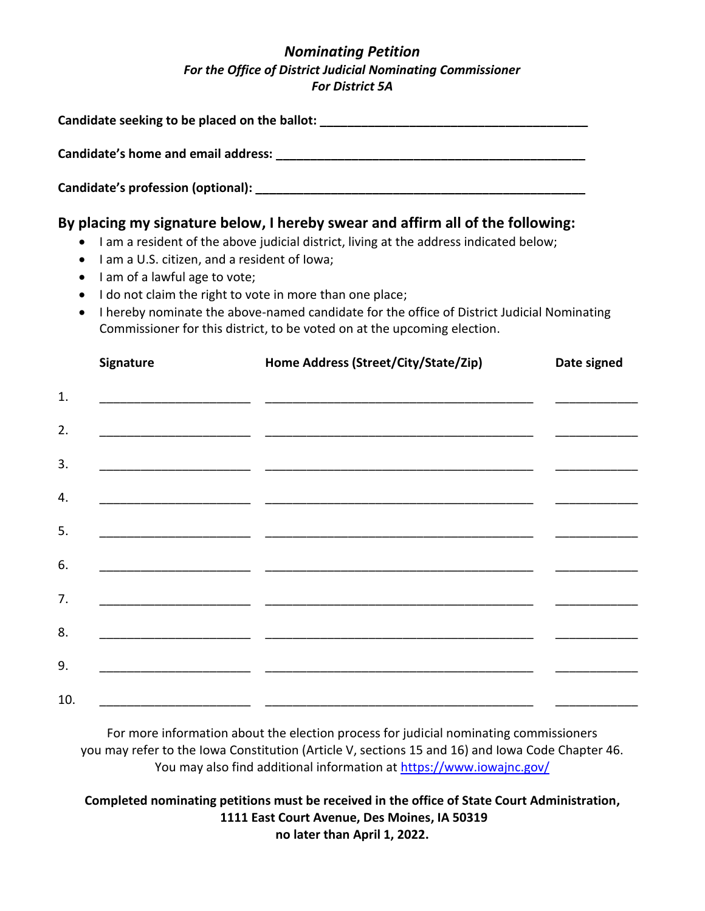## *Nominating Petition For the Office of District Judicial Nominating Commissioner For District 5A*

| Candidate seeking to be placed on the ballot:                        |                                                                                                                                                                                                                                                                                                                                                                                                                                                                |             |
|----------------------------------------------------------------------|----------------------------------------------------------------------------------------------------------------------------------------------------------------------------------------------------------------------------------------------------------------------------------------------------------------------------------------------------------------------------------------------------------------------------------------------------------------|-------------|
| Candidate's home and email address:                                  |                                                                                                                                                                                                                                                                                                                                                                                                                                                                |             |
| Candidate's profession (optional): _______                           |                                                                                                                                                                                                                                                                                                                                                                                                                                                                |             |
| $\bullet$<br>I am of a lawful age to vote;<br>$\bullet$<br>$\bullet$ | By placing my signature below, I hereby swear and affirm all of the following:<br>I am a resident of the above judicial district, living at the address indicated below;<br>I am a U.S. citizen, and a resident of Iowa;<br>I do not claim the right to vote in more than one place;<br>I hereby nominate the above-named candidate for the office of District Judicial Nominating<br>Commissioner for this district, to be voted on at the upcoming election. |             |
| <b>Signature</b>                                                     | Home Address (Street/City/State/Zip)                                                                                                                                                                                                                                                                                                                                                                                                                           | Date signed |

| 1.  |  |                                                |
|-----|--|------------------------------------------------|
| 2.  |  |                                                |
| 3.  |  |                                                |
| 4.  |  |                                                |
| 5.  |  |                                                |
| 6.  |  |                                                |
| 7.  |  |                                                |
| 8.  |  | <u> The Communication of the Communication</u> |
| 9.  |  |                                                |
| 10. |  |                                                |

For more information about the election process for judicial nominating commissioners you may refer to the Iowa Constitution (Article V, sections 15 and 16) and Iowa Code Chapter 46. You may also find additional information at<https://www.iowajnc.gov/>

## **Completed nominating petitions must be received in the office of State Court Administration, 1111 East Court Avenue, Des Moines, IA 50319 no later than April 1, 2022.**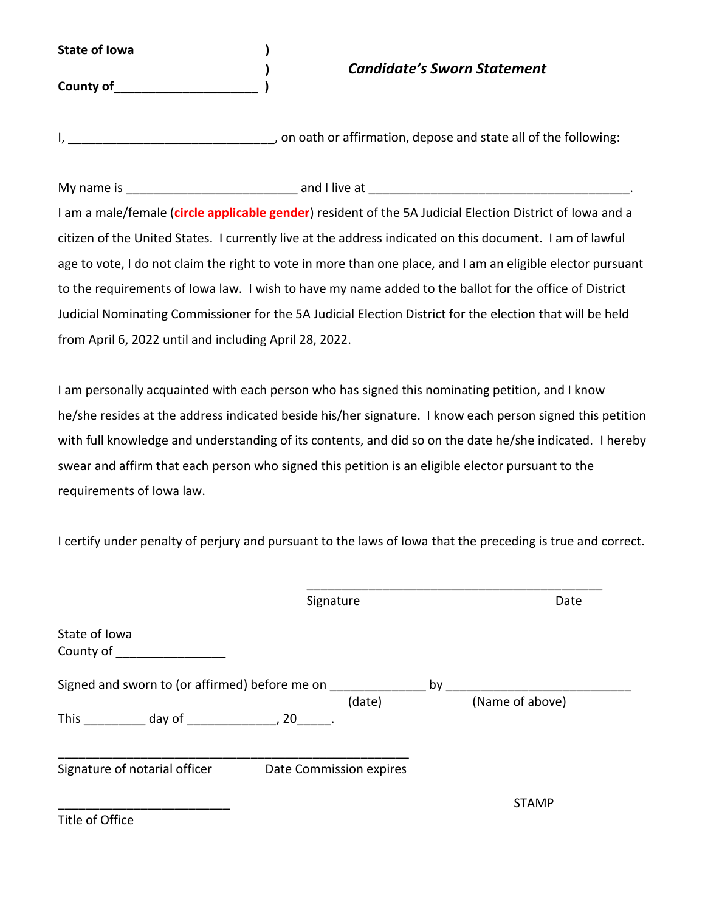**State of Iowa )**

**County of**\_\_\_\_\_\_\_\_\_\_\_\_\_\_\_\_\_\_\_\_\_ **)**

## **)** *Candidate's Sworn Statement*

I, \_\_\_\_\_\_\_\_\_\_\_\_\_\_\_\_\_\_\_\_\_\_\_\_\_\_\_\_\_\_, on oath or affirmation, depose and state all of the following:

My name is \_\_\_\_\_\_\_\_\_\_\_\_\_\_\_\_\_\_\_\_\_\_\_\_\_ and I live at \_\_\_\_\_\_\_\_\_\_\_\_\_\_\_\_\_\_\_\_\_\_\_\_\_\_\_\_\_\_\_\_\_\_\_\_\_\_. I am a male/female (**circle applicable gender**) resident of the 5A Judicial Election District of Iowa and a citizen of the United States. I currently live at the address indicated on this document. I am of lawful age to vote, I do not claim the right to vote in more than one place, and I am an eligible elector pursuant to the requirements of Iowa law. I wish to have my name added to the ballot for the office of District Judicial Nominating Commissioner for the 5A Judicial Election District for the election that will be held from April 6, 2022 until and including April 28, 2022.

I am personally acquainted with each person who has signed this nominating petition, and I know he/she resides at the address indicated beside his/her signature. I know each person signed this petition with full knowledge and understanding of its contents, and did so on the date he/she indicated. I hereby swear and affirm that each person who signed this petition is an eligible elector pursuant to the requirements of Iowa law.

I certify under penalty of perjury and pursuant to the laws of Iowa that the preceding is true and correct.

| by |                                                                                     |
|----|-------------------------------------------------------------------------------------|
|    | (Name of above)                                                                     |
|    |                                                                                     |
|    | <b>STAMP</b>                                                                        |
|    | Signed and sworn to (or affirmed) before me on<br>(date)<br>Date Commission expires |